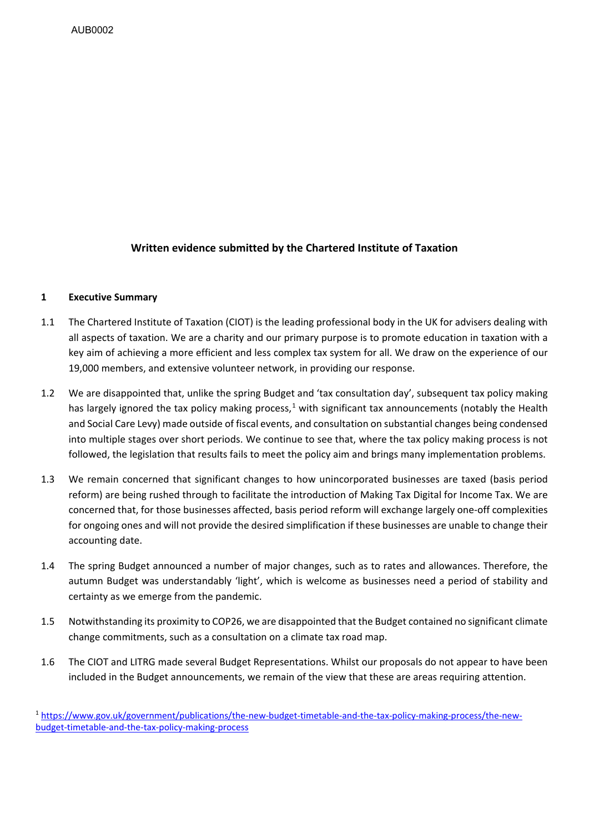# **Written evidence submitted by the Chartered Institute of Taxation**

#### **1 Executive Summary**

- 1.1 The Chartered Institute of Taxation (CIOT) is the leading professional body in the UK for advisers dealing with all aspects of taxation. We are a charity and our primary purpose is to promote education in taxation with a key aim of achieving a more efficient and less complex tax system for all. We draw on the experience of our 19,000 members, and extensive volunteer network, in providing our response.
- 1.2 We are disappointed that, unlike the spring Budget and 'tax consultation day', subsequent tax policy making has largely ignored the tax policy making process,<sup>[1](#page-0-0)</sup> with significant tax announcements (notably the Health and Social Care Levy) made outside of fiscal events, and consultation on substantial changes being condensed into multiple stages over short periods. We continue to see that, where the tax policy making process is not followed, the legislation that results fails to meet the policy aim and brings many implementation problems.
- 1.3 We remain concerned that significant changes to how unincorporated businesses are taxed (basis period reform) are being rushed through to facilitate the introduction of Making Tax Digital for Income Tax. We are concerned that, for those businesses affected, basis period reform will exchange largely one-off complexities for ongoing ones and will not provide the desired simplification if these businesses are unable to change their accounting date.
- 1.4 The spring Budget announced a number of major changes, such as to rates and allowances. Therefore, the autumn Budget was understandably 'light', which is welcome as businesses need a period of stability and certainty as we emerge from the pandemic.
- 1.5 Notwithstanding its proximity to COP26, we are disappointed that the Budget contained no significant climate change commitments, such as a consultation on a climate tax road map.
- 1.6 The CIOT and LITRG made several Budget Representations. Whilst our proposals do not appear to have been included in the Budget announcements, we remain of the view that these are areas requiring attention.

<span id="page-0-0"></span><sup>1</sup> [https://www.gov.uk/government/publications/the-new-budget-timetable-and-the-tax-policy-making-process/the-new](https://www.gov.uk/government/publications/the-new-budget-timetable-and-the-tax-policy-making-process/the-new-budget-timetable-and-the-tax-policy-making-process)[budget-timetable-and-the-tax-policy-making-process](https://www.gov.uk/government/publications/the-new-budget-timetable-and-the-tax-policy-making-process/the-new-budget-timetable-and-the-tax-policy-making-process)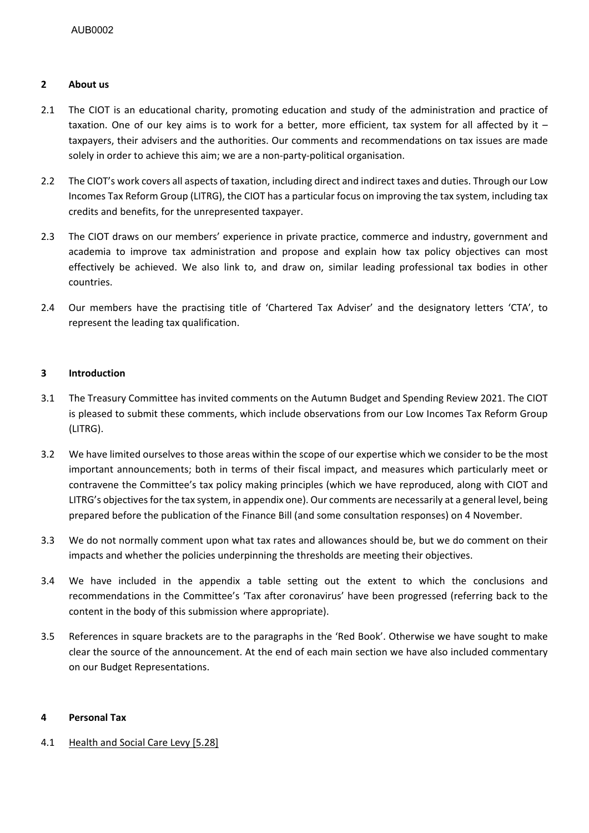# **2 About us**

- 2.1 The CIOT is an educational charity, promoting education and study of the administration and practice of taxation. One of our key aims is to work for a better, more efficient, tax system for all affected by it – taxpayers, their advisers and the authorities. Our comments and recommendations on tax issues are made solely in order to achieve this aim; we are a non-party-political organisation.
- 2.2 The CIOT's work covers all aspects of taxation, including direct and indirect taxes and duties. Through our Low Incomes Tax Reform Group (LITRG), the CIOT has a particular focus on improving the tax system, including tax credits and benefits, for the unrepresented taxpayer.
- 2.3 The CIOT draws on our members' experience in private practice, commerce and industry, government and academia to improve tax administration and propose and explain how tax policy objectives can most effectively be achieved. We also link to, and draw on, similar leading professional tax bodies in other countries.
- 2.4 Our members have the practising title of 'Chartered Tax Adviser' and the designatory letters 'CTA', to represent the leading tax qualification.

# **3 Introduction**

- 3.1 The Treasury Committee has invited comments on the Autumn Budget and Spending Review 2021. The CIOT is pleased to submit these comments, which include observations from our Low Incomes Tax Reform Group (LITRG).
- 3.2 We have limited ourselves to those areas within the scope of our expertise which we consider to be the most important announcements; both in terms of their fiscal impact, and measures which particularly meet or contravene the Committee's tax policy making principles (which we have reproduced, along with CIOT and LITRG's objectives for the tax system, in appendix one). Our comments are necessarily at a general level, being prepared before the publication of the Finance Bill (and some consultation responses) on 4 November.
- 3.3 We do not normally comment upon what tax rates and allowances should be, but we do comment on their impacts and whether the policies underpinning the thresholds are meeting their objectives.
- 3.4 We have included in the appendix a table setting out the extent to which the conclusions and recommendations in the Committee's 'Tax after coronavirus' have been progressed (referring back to the content in the body of this submission where appropriate).
- 3.5 References in square brackets are to the paragraphs in the 'Red Book'. Otherwise we have sought to make clear the source of the announcement. At the end of each main section we have also included commentary on our Budget Representations.

# **4 Personal Tax**

4.1 Health and Social Care Levy [5.28]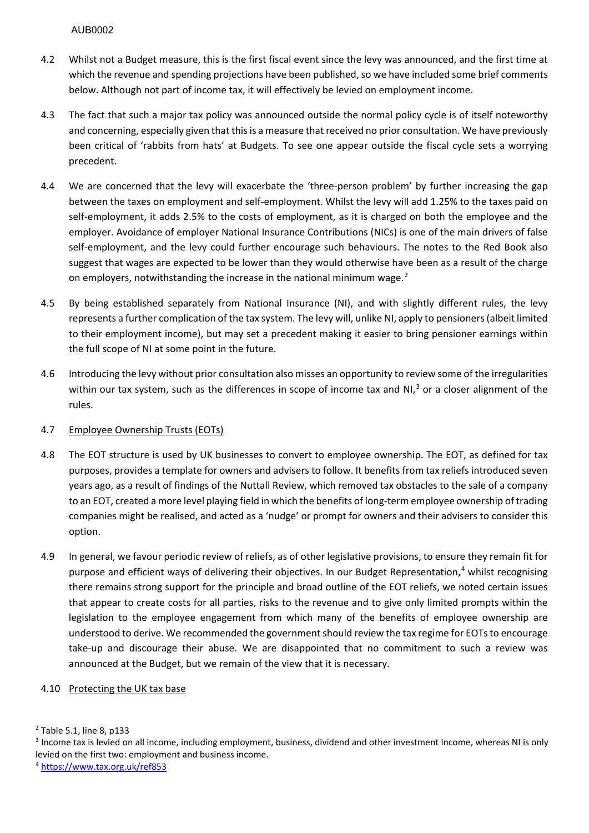- 4.2 Whilst not a Budget measure, this is the first fiscal event since the levy was announced, and the first time at which the revenue and spending projections have been published, so we have included some brief comments below. Although not part of income tax, it will effectively be levied on employment income.
- 4.3 The fact that such a major tax policy was announced outside the normal policy cycle is of itself noteworthy and concerning, especially given that this is a measure that received no prior consultation. We have previously been critical of 'rabbits from hats' at Budgets. To see one appear outside the fiscal cycle sets a worrying precedent.
- 4.4 We are concerned that the levy will exacerbate the 'three-person problem' by further increasing the gap between the taxes on employment and self-employment. Whilst the levy will add 1.25% to the taxes paid on self-employment, it adds 2.5% to the costs of employment, as it is charged on both the employee and the employer. Avoidance of employer National Insurance Contributions (NICs) is one of the main drivers of false self-employment, and the levy could further encourage such behaviours. The notes to the Red Book also suggest that wages are expected to be lower than they would otherwise have been as a result of the charge on employers, notwithstanding the increase in the national minimum wage.<sup>[2](#page-2-0)</sup>
- 4.5 By being established separately from National Insurance (NI), and with slightly different rules, the levy represents a further complication of the tax system. The levy will, unlike NI, apply to pensioners (albeit limited to their employment income), but may set a precedent making it easier to bring pensioner earnings within the full scope of NI at some point in the future.
- 4.6 Introducing the levy without prior consultation also misses an opportunity to review some of the irregularities within our tax system, such as the differences in scope of income tax and NI,<sup>[3](#page-2-1)</sup> or a closer alignment of the rules.

# 4.7 Employee Ownership Trusts (EOTs)

- 4.8 The EOT structure is used by UK businesses to convert to employee ownership. The EOT, as defined for tax purposes, provides a template for owners and advisers to follow. It benefits from tax reliefs introduced seven years ago, as a result of findings of the Nuttall Review, which removed tax obstacles to the sale of a company to an EOT, created a more level playing field in which the benefits of long-term employee ownership of trading companies might be realised, and acted as a 'nudge' or prompt for owners and their advisers to consider this option.
- 4.9 In general, we favour periodic review of reliefs, as of other legislative provisions, to ensure they remain fit for purpose and efficient ways of delivering their objectives. In our Budget Representation,<sup>[4](#page-2-2)</sup> whilst recognising there remains strong support for the principle and broad outline of the EOT reliefs, we noted certain issues that appear to create costs for all parties, risks to the revenue and to give only limited prompts within the legislation to the employee engagement from which many of the benefits of employee ownership are understood to derive. We recommended the government should review the tax regime for EOTsto encourage take-up and discourage their abuse. We are disappointed that no commitment to such a review was announced at the Budget, but we remain of the view that it is necessary.

# 4.10 Protecting the UK tax base

<span id="page-2-0"></span><sup>2</sup> Table 5.1, line 8, p133

<span id="page-2-1"></span><sup>&</sup>lt;sup>3</sup> Income tax is levied on all income, including employment, business, dividend and other investment income, whereas NI is only levied on the first two: employment and business income.

<span id="page-2-2"></span><sup>4</sup> <https://www.tax.org.uk/ref853>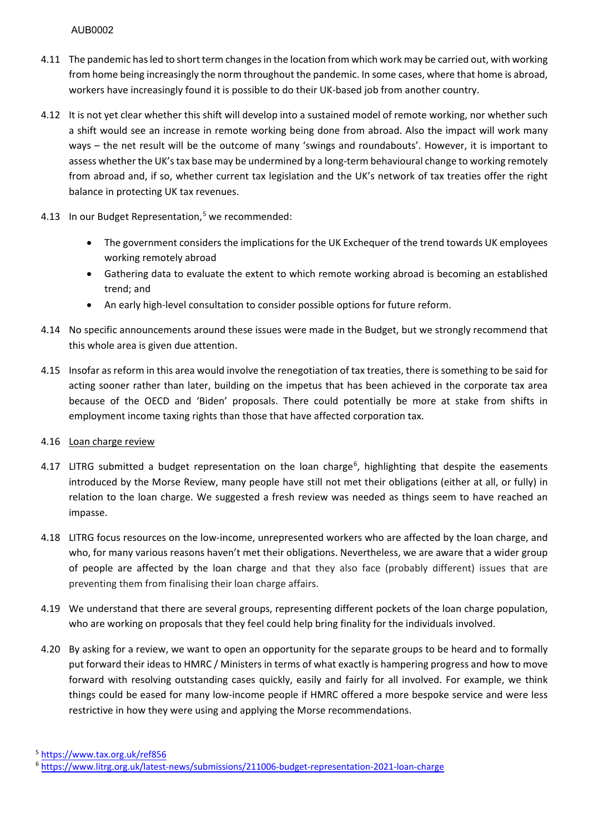- 4.11 The pandemic has led to short term changes in the location from which work may be carried out, with working from home being increasingly the norm throughout the pandemic. In some cases, where that home is abroad, workers have increasingly found it is possible to do their UK-based job from another country.
- 4.12 It is not yet clear whether this shift will develop into a sustained model of remote working, nor whether such a shift would see an increase in remote working being done from abroad. Also the impact will work many ways – the net result will be the outcome of many 'swings and roundabouts'. However, it is important to assess whether the UK's tax base may be undermined by a long-term behavioural change to working remotely from abroad and, if so, whether current tax legislation and the UK's network of tax treaties offer the right balance in protecting UK tax revenues.
- 4.13 In our Budget Representation, $5$  we recommended:
	- The government considers the implications for the UK Exchequer of the trend towards UK employees working remotely abroad
	- Gathering data to evaluate the extent to which remote working abroad is becoming an established trend; and
	- An early high-level consultation to consider possible options for future reform.
- 4.14 No specific announcements around these issues were made in the Budget, but we strongly recommend that this whole area is given due attention.
- 4.15 Insofar as reform in this area would involve the renegotiation of tax treaties, there is something to be said for acting sooner rather than later, building on the impetus that has been achieved in the corporate tax area because of the OECD and 'Biden' proposals. There could potentially be more at stake from shifts in employment income taxing rights than those that have affected corporation tax.
- 4.16 Loan charge review
- 4.17 LITRG submitted a budget representation on the loan charge<sup>[6](#page-3-1)</sup>, highlighting that despite the easements introduced by the Morse Review, many people have still not met their obligations (either at all, or fully) in relation to the loan charge. We suggested a fresh review was needed as things seem to have reached an impasse.
- 4.18 LITRG focus resources on the low-income, unrepresented workers who are affected by the loan charge, and who, for many various reasons haven't met their obligations. Nevertheless, we are aware that a wider group of people are affected by the loan charge and that they also face (probably different) issues that are preventing them from finalising their loan charge affairs.
- 4.19 We understand that there are several groups, representing different pockets of the loan charge population, who are working on proposals that they feel could help bring finality for the individuals involved.
- 4.20 By asking for a review, we want to open an opportunity for the separate groups to be heard and to formally put forward their ideas to HMRC / Ministers in terms of what exactly is hampering progress and how to move forward with resolving outstanding cases quickly, easily and fairly for all involved. For example, we think things could be eased for many low-income people if HMRC offered a more bespoke service and were less restrictive in how they were using and applying the Morse recommendations.
- <span id="page-3-0"></span><sup>5</sup> <https://www.tax.org.uk/ref856>

<span id="page-3-1"></span><sup>6</sup> <https://www.litrg.org.uk/latest-news/submissions/211006-budget-representation-2021-loan-charge>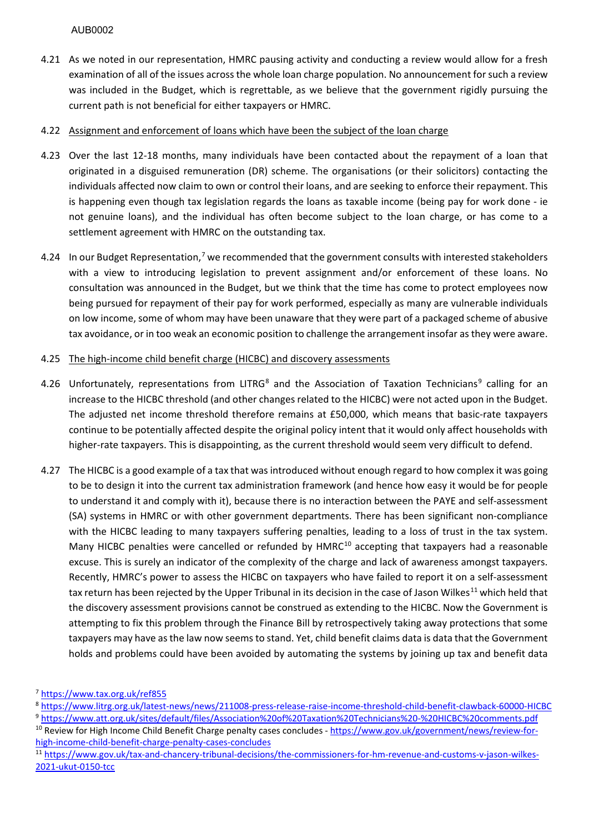- 4.21 As we noted in our representation, HMRC pausing activity and conducting a review would allow for a fresh examination of all of the issues across the whole loan charge population. No announcement for such a review was included in the Budget, which is regrettable, as we believe that the government rigidly pursuing the current path is not beneficial for either taxpayers or HMRC.
- 4.22 Assignment and enforcement of loans which have been the subject of the loan charge
- 4.23 Over the last 12-18 months, many individuals have been contacted about the repayment of a loan that originated in a disguised remuneration (DR) scheme. The organisations (or their solicitors) contacting the individuals affected now claim to own or control their loans, and are seeking to enforce their repayment. This is happening even though tax legislation regards the loans as taxable income (being pay for work done - ie not genuine loans), and the individual has often become subject to the loan charge, or has come to a settlement agreement with HMRC on the outstanding tax.
- 4.24 In our Budget Representation,<sup>[7](#page-4-0)</sup> we recommended that the government consults with interested stakeholders with a view to introducing legislation to prevent assignment and/or enforcement of these loans. No consultation was announced in the Budget, but we think that the time has come to protect employees now being pursued for repayment of their pay for work performed, especially as many are vulnerable individuals on low income, some of whom may have been unaware that they were part of a packaged scheme of abusive tax avoidance, or in too weak an economic position to challenge the arrangement insofar as they were aware.
- 4.25 The high-income child benefit charge (HICBC) and discovery assessments
- 4.26 Unfortunately, representations from LITRG<sup>[8](#page-4-1)</sup> and the Association of Taxation Technicians<sup>[9](#page-4-2)</sup> calling for an increase to the HICBC threshold (and other changes related to the HICBC) were not acted upon in the Budget. The adjusted net income threshold therefore remains at £50,000, which means that basic-rate taxpayers continue to be potentially affected despite the original policy intent that it would only affect households with higher-rate taxpayers. This is disappointing, as the current threshold would seem very difficult to defend.
- 4.27 The HICBC is a good example of a tax that was introduced without enough regard to how complex it was going to be to design it into the current tax administration framework (and hence how easy it would be for people to understand it and comply with it), because there is no interaction between the PAYE and self-assessment (SA) systems in HMRC or with other government departments. There has been significant non-compliance with the HICBC leading to many taxpayers suffering penalties, leading to a loss of trust in the tax system. Many HICBC penalties were cancelled or refunded by HMRC<sup>[10](#page-4-3)</sup> accepting that taxpayers had a reasonable excuse. This is surely an indicator of the complexity of the charge and lack of awareness amongst taxpayers. Recently, HMRC's power to assess the HICBC on taxpayers who have failed to report it on a self-assessment tax return has been rejected by the Upper Tribunal in its decision in the case of Jason Wilkes<sup>[11](#page-4-4)</sup> which held that the discovery assessment provisions cannot be construed as extending to the HICBC. Now the Government is attempting to fix this problem through the Finance Bill by retrospectively taking away protections that some taxpayers may have as the law now seems to stand. Yet, child benefit claims data is data that the Government holds and problems could have been avoided by automating the systems by joining up tax and benefit data

- <span id="page-4-1"></span><sup>8</sup> <https://www.litrg.org.uk/latest-news/news/211008-press-release-raise-income-threshold-child-benefit-clawback-60000-HICBC>
- <span id="page-4-2"></span><sup>9</sup> https://www.att.org.uk/sites/default/files/Association%20of%20Taxation%20Technicians%20-%20HICBC%20comments.pdf<br><sup>10</sup> Review for High Income Child Benefit Charge penalty cases concludes - https://www.gov.uk/government/n

<span id="page-4-0"></span><sup>7</sup> <https://www.tax.org.uk/ref855>

<span id="page-4-3"></span>high-income-child-benefit-charge-penalty-cases-concludes<br><sup>11</sup> https://www<u>.gov.uk/tax-and-chancery-tribunal-decisions/the-commissioners-for-hm-revenue-and-customs-v-jason-wilkes-</u>

<span id="page-4-4"></span>[<sup>2021-</sup>ukut-0150-tcc](https://www.gov.uk/tax-and-chancery-tribunal-decisions/the-commissioners-for-hm-revenue-and-customs-v-jason-wilkes-2021-ukut-0150-tcc)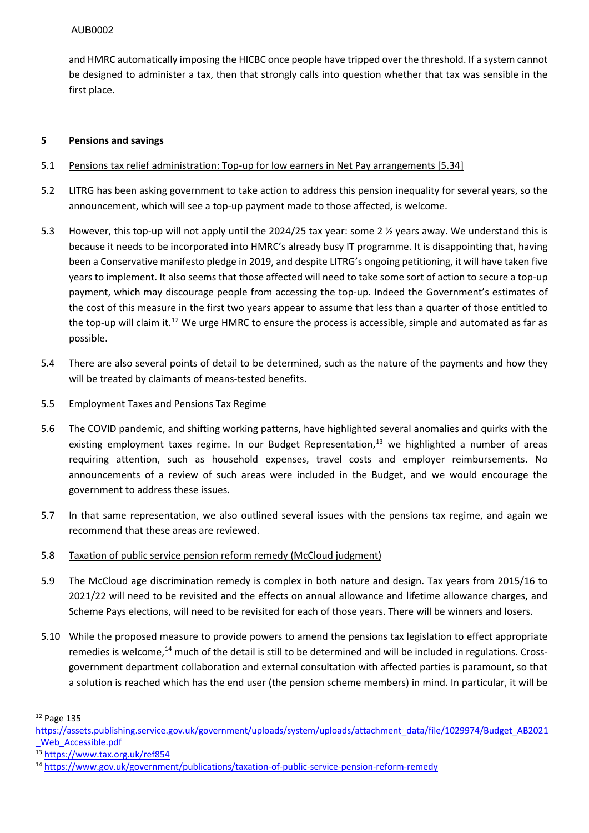and HMRC automatically imposing the HICBC once people have tripped over the threshold. If a system cannot be designed to administer a tax, then that strongly calls into question whether that tax was sensible in the first place.

# **5 Pensions and savings**

### 5.1 Pensions tax relief administration: Top-up for low earners in Net Pay arrangements [5.34]

- 5.2 LITRG has been asking government to take action to address this pension inequality for several years, so the announcement, which will see a top-up payment made to those affected, is welcome.
- 5.3 However, this top-up will not apply until the 2024/25 tax year: some 2 ½ years away. We understand this is because it needs to be incorporated into HMRC's already busy IT programme. It is disappointing that, having been a Conservative manifesto pledge in 2019, and despite LITRG's ongoing petitioning, it will have taken five years to implement. It also seems that those affected will need to take some sort of action to secure a top-up payment, which may discourage people from accessing the top-up. Indeed the Government's estimates of the cost of this measure in the first two years appear to assume that less than a quarter of those entitled to the top-up will claim it.<sup>12</sup> We urge HMRC to ensure the process is accessible, simple and automated as far as possible.
- 5.4 There are also several points of detail to be determined, such as the nature of the payments and how they will be treated by claimants of means-tested benefits.

#### 5.5 Employment Taxes and Pensions Tax Regime

- 5.6 The COVID pandemic, and shifting working patterns, have highlighted several anomalies and quirks with the existing employment taxes regime. In our Budget Representation, $13$  we highlighted a number of areas requiring attention, such as household expenses, travel costs and employer reimbursements. No announcements of a review of such areas were included in the Budget, and we would encourage the government to address these issues.
- 5.7 In that same representation, we also outlined several issues with the pensions tax regime, and again we recommend that these areas are reviewed.
- 5.8 Taxation of public service pension reform remedy (McCloud judgment)
- 5.9 The McCloud age discrimination remedy is complex in both nature and design. Tax years from 2015/16 to 2021/22 will need to be revisited and the effects on annual allowance and lifetime allowance charges, and Scheme Pays elections, will need to be revisited for each of those years. There will be winners and losers.
- 5.10 While the proposed measure to provide powers to amend the pensions tax legislation to effect appropriate remedies is welcome,<sup>[14](#page-5-2)</sup> much of the detail is still to be determined and will be included in regulations. Crossgovernment department collaboration and external consultation with affected parties is paramount, so that a solution is reached which has the end user (the pension scheme members) in mind. In particular, it will be

<span id="page-5-0"></span><sup>12</sup> Page 135

[https://assets.publishing.service.gov.uk/government/uploads/system/uploads/attachment\\_data/file/1029974/Budget\\_AB2021](https://assets.publishing.service.gov.uk/government/uploads/system/uploads/attachment_data/file/1029974/Budget_AB2021_Web_Accessible.pdf) [\\_Web\\_Accessible.pdf](https://assets.publishing.service.gov.uk/government/uploads/system/uploads/attachment_data/file/1029974/Budget_AB2021_Web_Accessible.pdf) 13 <https://www.tax.org.uk/ref854>

<span id="page-5-1"></span>

<span id="page-5-2"></span><sup>14</sup> <https://www.gov.uk/government/publications/taxation-of-public-service-pension-reform-remedy>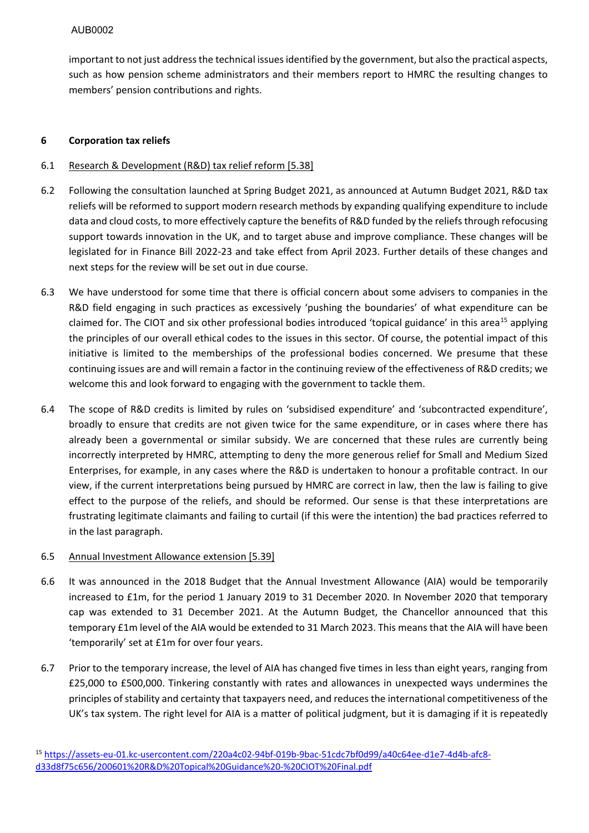important to not just address the technical issues identified by the government, but also the practical aspects, such as how pension scheme administrators and their members report to HMRC the resulting changes to members' pension contributions and rights.

# **6 Corporation tax reliefs**

# 6.1 Research & Development (R&D) tax relief reform [5.38]

- 6.2 Following the consultation launched at Spring Budget 2021, as announced at Autumn Budget 2021, R&D tax reliefs will be reformed to support modern research methods by expanding qualifying expenditure to include data and cloud costs, to more effectively capture the benefits of R&D funded by the reliefs through refocusing support towards innovation in the UK, and to target abuse and improve compliance. These changes will be legislated for in Finance Bill 2022-23 and take effect from April 2023. Further details of these changes and next steps for the review will be set out in due course.
- 6.3 We have understood for some time that there is official concern about some advisers to companies in the R&D field engaging in such practices as excessively 'pushing the boundaries' of what expenditure can be claimed for. The CIOT and six other professional bodies introduced 'topical guidance' in this area<sup>[15](#page-6-0)</sup> applying the principles of our overall ethical codes to the issues in this sector. Of course, the potential impact of this initiative is limited to the memberships of the professional bodies concerned. We presume that these continuing issues are and will remain a factor in the continuing review of the effectiveness of R&D credits; we welcome this and look forward to engaging with the government to tackle them.
- 6.4 The scope of R&D credits is limited by rules on 'subsidised expenditure' and 'subcontracted expenditure', broadly to ensure that credits are not given twice for the same expenditure, or in cases where there has already been a governmental or similar subsidy. We are concerned that these rules are currently being incorrectly interpreted by HMRC, attempting to deny the more generous relief for Small and Medium Sized Enterprises, for example, in any cases where the R&D is undertaken to honour a profitable contract. In our view, if the current interpretations being pursued by HMRC are correct in law, then the law is failing to give effect to the purpose of the reliefs, and should be reformed. Our sense is that these interpretations are frustrating legitimate claimants and failing to curtail (if this were the intention) the bad practices referred to in the last paragraph.

#### 6.5 Annual Investment Allowance extension [5.39]

- 6.6 It was announced in the 2018 Budget that the Annual Investment Allowance (AIA) would be temporarily increased to £1m, for the period 1 January 2019 to 31 December 2020. In November 2020 that temporary cap was extended to 31 December 2021. At the Autumn Budget, the Chancellor announced that this temporary £1m level of the AIA would be extended to 31 March 2023. This means that the AIA will have been 'temporarily' set at £1m for over four years.
- 6.7 Prior to the temporary increase, the level of AIA has changed five times in less than eight years, ranging from £25,000 to £500,000. Tinkering constantly with rates and allowances in unexpected ways undermines the principles of stability and certainty that taxpayers need, and reduces the international competitiveness of the UK's tax system. The right level for AIA is a matter of political judgment, but it is damaging if it is repeatedly

<span id="page-6-0"></span><sup>15</sup> [https://assets-eu-01.kc-usercontent.com/220a4c02-94bf-019b-9bac-51cdc7bf0d99/a40c64ee-d1e7-4d4b-afc8](https://assets-eu-01.kc-usercontent.com/220a4c02-94bf-019b-9bac-51cdc7bf0d99/a40c64ee-d1e7-4d4b-afc8-d33d8f75c656/200601%20R&D%20Topical%20Guidance%20-%20CIOT%20Final.pdf) [d33d8f75c656/200601%20R&D%20Topical%20Guidance%20-%20CIOT%20Final.pdf](https://assets-eu-01.kc-usercontent.com/220a4c02-94bf-019b-9bac-51cdc7bf0d99/a40c64ee-d1e7-4d4b-afc8-d33d8f75c656/200601%20R&D%20Topical%20Guidance%20-%20CIOT%20Final.pdf)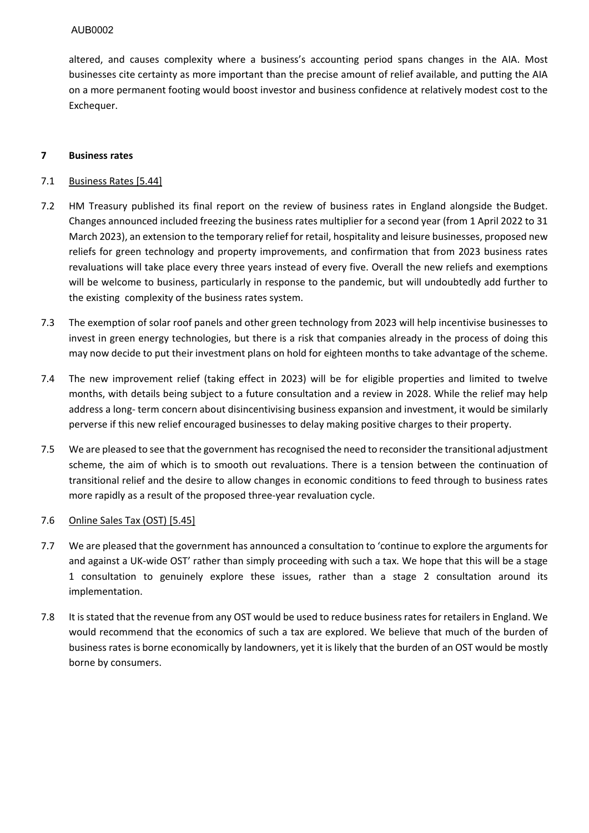altered, and causes complexity where a business's accounting period spans changes in the AIA. Most businesses cite certainty as more important than the precise amount of relief available, and putting the AIA on a more permanent footing would boost investor and business confidence at relatively modest cost to the Exchequer.

### **7 Business rates**

# 7.1 Business Rates [5.44]

- 7.2 HM Treasury published its final report on the review of business rates in England alongside the Budget. Changes announced included freezing the business rates multiplier for a second year (from 1 April 2022 to 31 March 2023), an extension to the temporary relief for retail, hospitality and leisure businesses, proposed new reliefs for green technology and property improvements, and confirmation that from 2023 business rates revaluations will take place every three years instead of every five. Overall the new reliefs and exemptions will be welcome to business, particularly in response to the pandemic, but will undoubtedly add further to the existing complexity of the business rates system.
- 7.3 The exemption of solar roof panels and other green technology from 2023 will help incentivise businesses to invest in green energy technologies, but there is a risk that companies already in the process of doing this may now decide to put their investment plans on hold for eighteen months to take advantage of the scheme.
- 7.4 The new improvement relief (taking effect in 2023) will be for eligible properties and limited to twelve months, with details being subject to a future consultation and a review in 2028. While the relief may help address a long- term concern about disincentivising business expansion and investment, it would be similarly perverse if this new relief encouraged businesses to delay making positive charges to their property.
- 7.5 We are pleased to see that the government has recognised the need to reconsider the transitional adjustment scheme, the aim of which is to smooth out revaluations. There is a tension between the continuation of transitional relief and the desire to allow changes in economic conditions to feed through to business rates more rapidly as a result of the proposed three-year revaluation cycle.

#### 7.6 Online Sales Tax (OST) [5.45]

- 7.7 We are pleased that the government has announced a consultation to 'continue to explore the arguments for and against a UK-wide OST' rather than simply proceeding with such a tax. We hope that this will be a stage 1 consultation to genuinely explore these issues, rather than a stage 2 consultation around its implementation.
- 7.8 It is stated that the revenue from any OST would be used to reduce business rates for retailers in England. We would recommend that the economics of such a tax are explored. We believe that much of the burden of business rates is borne economically by landowners, yet it is likely that the burden of an OST would be mostly borne by consumers.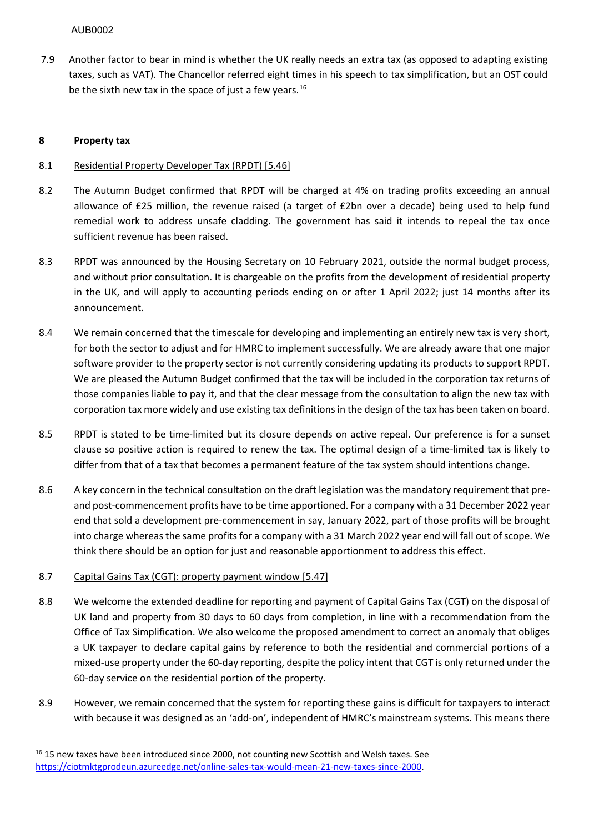7.9 Another factor to bear in mind is whether the UK really needs an extra tax (as opposed to adapting existing taxes, such as VAT). The Chancellor referred eight times in his speech to tax simplification, but an OST could be the sixth new tax in the space of just a few years.<sup>[16](#page-8-0)</sup>

# **8 Property tax**

### 8.1 Residential Property Developer Tax (RPDT) [5.46]

- 8.2 The Autumn Budget confirmed that RPDT will be charged at 4% on trading profits exceeding an annual allowance of £25 million, the revenue raised (a target of £2bn over a decade) being used to help fund remedial work to address unsafe cladding. The government has said it intends to repeal the tax once sufficient revenue has been raised.
- 8.3 RPDT was announced by the Housing Secretary on 10 February 2021, outside the normal budget process, and without prior consultation. It is chargeable on the profits from the development of residential property in the UK, and will apply to accounting periods ending on or after 1 April 2022; just 14 months after its announcement.
- 8.4 We remain concerned that the timescale for developing and implementing an entirely new tax is very short, for both the sector to adjust and for HMRC to implement successfully. We are already aware that one major software provider to the property sector is not currently considering updating its products to support RPDT. We are pleased the Autumn Budget confirmed that the tax will be included in the corporation tax returns of those companies liable to pay it, and that the clear message from the consultation to align the new tax with corporation tax more widely and use existing tax definitions in the design of the tax has been taken on board.
- 8.5 RPDT is stated to be time-limited but its closure depends on active repeal. Our preference is for a sunset clause so positive action is required to renew the tax. The optimal design of a time-limited tax is likely to differ from that of a tax that becomes a permanent feature of the tax system should intentions change.
- 8.6 A key concern in the technical consultation on the draft legislation was the mandatory requirement that preand post-commencement profits have to be time apportioned. For a company with a 31 December 2022 year end that sold a development pre-commencement in say, January 2022, part of those profits will be brought into charge whereas the same profits for a company with a 31 March 2022 year end will fall out of scope. We think there should be an option for just and reasonable apportionment to address this effect.

#### 8.7 Capital Gains Tax (CGT): property payment window [5.47]

- 8.8 We welcome the extended deadline for reporting and payment of Capital Gains Tax (CGT) on the disposal of UK land and property from 30 days to 60 days from completion, in line with a recommendation from the Office of Tax Simplification. We also welcome the proposed amendment to correct an anomaly that obliges a UK taxpayer to declare capital gains by reference to both the residential and commercial portions of a mixed-use property under the 60-day reporting, despite the policy intent that CGT is only returned under the 60-day service on the residential portion of the property.
- <span id="page-8-0"></span>8.9 However, we remain concerned that the system for reporting these gains is difficult for taxpayers to interact with because it was designed as an 'add-on', independent of HMRC's mainstream systems. This means there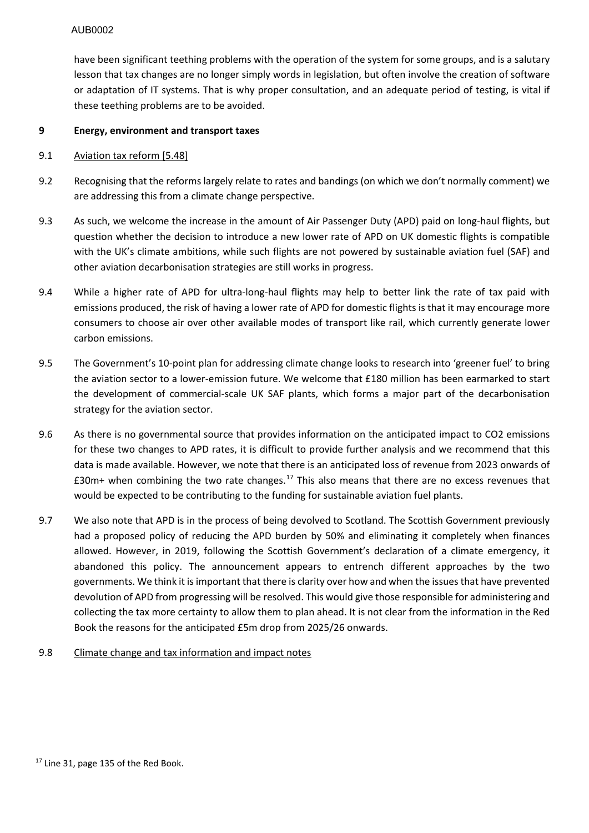have been significant teething problems with the operation of the system for some groups, and is a salutary lesson that tax changes are no longer simply words in legislation, but often involve the creation of software or adaptation of IT systems. That is why proper consultation, and an adequate period of testing, is vital if these teething problems are to be avoided.

### **9 Energy, environment and transport taxes**

### 9.1 Aviation tax reform [5.48]

- 9.2 Recognising that the reforms largely relate to rates and bandings (on which we don't normally comment) we are addressing this from a climate change perspective.
- 9.3 As such, we welcome the increase in the amount of Air Passenger Duty (APD) paid on long-haul flights, but question whether the decision to introduce a new lower rate of APD on UK domestic flights is compatible with the UK's climate ambitions, while such flights are not powered by sustainable aviation fuel (SAF) and other aviation decarbonisation strategies are still works in progress.
- 9.4 While a higher rate of APD for ultra-long-haul flights may help to better link the rate of tax paid with emissions produced, the risk of having a lower rate of APD for domestic flights is that it may encourage more consumers to choose air over other available modes of transport like rail, which currently generate lower carbon emissions.
- 9.5 The Government's 10-point plan for addressing climate change looks to research into 'greener fuel' to bring the aviation sector to a lower-emission future. We welcome that £180 million has been earmarked to start the development of commercial-scale UK SAF plants, which forms a major part of the decarbonisation strategy for the aviation sector.
- 9.6 As there is no governmental source that provides information on the anticipated impact to CO2 emissions for these two changes to APD rates, it is difficult to provide further analysis and we recommend that this data is made available. However, we note that there is an anticipated loss of revenue from 2023 onwards of  $£30m+$  when combining the two rate changes.<sup>[17](#page-9-0)</sup> This also means that there are no excess revenues that would be expected to be contributing to the funding for sustainable aviation fuel plants.
- 9.7 We also note that APD is in the process of being devolved to Scotland. The Scottish Government previously had a proposed policy of reducing the APD burden by 50% and eliminating it completely when finances allowed. However, in 2019, following the Scottish Government's declaration of a climate emergency, it abandoned this policy. The announcement appears to entrench different approaches by the two governments. We think it is important that there is clarity over how and when the issues that have prevented devolution of APD from progressing will be resolved. This would give those responsible for administering and collecting the tax more certainty to allow them to plan ahead. It is not clear from the information in the Red Book the reasons for the anticipated £5m drop from 2025/26 onwards.

# <span id="page-9-0"></span>9.8 Climate change and tax information and impact notes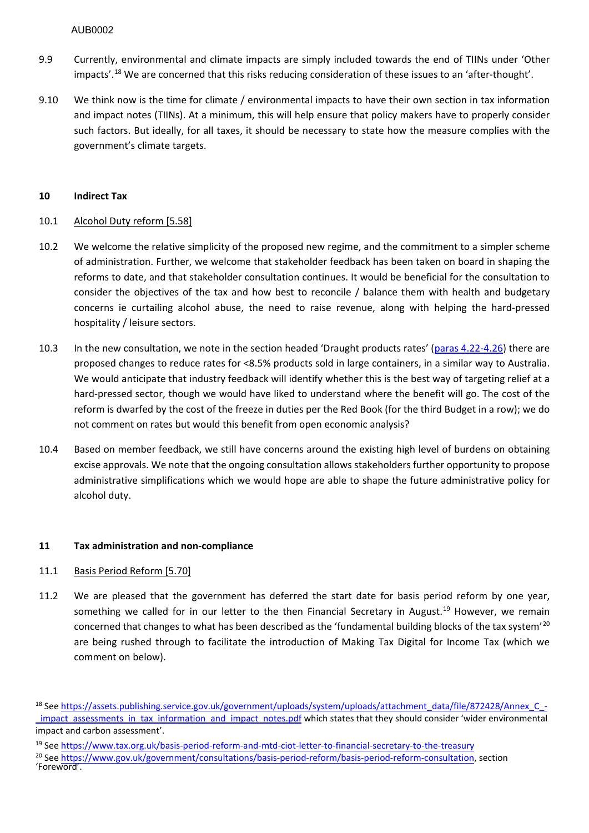- 9.9 Currently, environmental and climate impacts are simply included towards the end of TIINs under 'Other impacts'.[18](#page-10-0) We are concerned that this risks reducing consideration of these issues to an 'after-thought'.
- 9.10 We think now is the time for climate / environmental impacts to have their own section in tax information and impact notes (TIINs). At a minimum, this will help ensure that policy makers have to properly consider such factors. But ideally, for all taxes, it should be necessary to state how the measure complies with the government's climate targets.

### **10 Indirect Tax**

# 10.1 Alcohol Duty reform [5.58]

- 10.2 We welcome the relative simplicity of the proposed new regime, and the commitment to a simpler scheme of administration. Further, we welcome that stakeholder feedback has been taken on board in shaping the reforms to date, and that stakeholder consultation continues. It would be beneficial for the consultation to consider the objectives of the tax and how best to reconcile / balance them with health and budgetary concerns ie curtailing alcohol abuse, the need to raise revenue, along with helping the hard-pressed hospitality / leisure sectors.
- 10.3 In the new consultation, we note in the section headed 'Draught products rates' [\(paras 4.22-4.26\)](https://assets.publishing.service.gov.uk/government/uploads/system/uploads/attachment_data/file/1028702/20211026_Alcohol_Duty_Review_Consultation_and_CFE_response.pdf) there are proposed changes to reduce rates for <8.5% products sold in large containers, in a similar way to Australia. We would anticipate that industry feedback will identify whether this is the best way of targeting relief at a hard-pressed sector, though we would have liked to understand where the benefit will go. The cost of the reform is dwarfed by the cost of the freeze in duties per the Red Book (for the third Budget in a row); we do not comment on rates but would this benefit from open economic analysis?
- 10.4 Based on member feedback, we still have concerns around the existing high level of burdens on obtaining excise approvals. We note that the ongoing consultation allows stakeholders further opportunity to propose administrative simplifications which we would hope are able to shape the future administrative policy for alcohol duty.

# **11 Tax administration and non-compliance**

# 11.1 Basis Period Reform [5.70]

11.2 We are pleased that the government has deferred the start date for basis period reform by one year, something we called for in our letter to the then Financial Secretary in August.<sup>[19](#page-10-1)</sup> However, we remain concerned that changes to what has been described as the 'fundamental building blocks of the tax system'<sup>[20](#page-10-2)</sup> are being rushed through to facilitate the introduction of Making Tax Digital for Income Tax (which we comment on below).

<span id="page-10-0"></span><sup>18</sup> Se[e https://assets.publishing.service.gov.uk/government/uploads/system/uploads/attachment\\_data/file/872428/Annex\\_C\\_](https://assets.publishing.service.gov.uk/government/uploads/system/uploads/attachment_data/file/872428/Annex_C_-_impact_assessments_in_tax_information_and_impact_notes.pdf) impact assessments in tax information and impact notes.pdf which states that they should consider 'wider environmental impact and carbon assessment'.

<span id="page-10-2"></span><span id="page-10-1"></span><sup>19</sup> Se[e https://www.tax.org.uk/basis-period-reform-and-mtd-ciot-letter-to-financial-secretary-to-the-treasury](https://www.tax.org.uk/basis-period-reform-and-mtd-ciot-letter-to-financial-secretary-to-the-treasury) <sup>20</sup> See [https://www.gov.uk/government/consultations/basis-period-reform/basis-period-reform-consultation,](https://www.gov.uk/government/consultations/basis-period-reform/basis-period-reform-consultation) section 'Foreword'.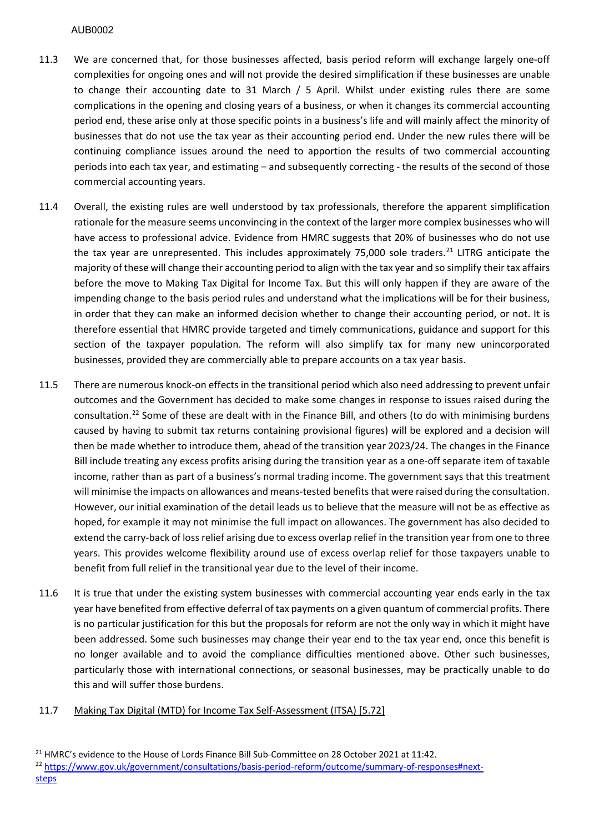- 11.3 We are concerned that, for those businesses affected, basis period reform will exchange largely one-off complexities for ongoing ones and will not provide the desired simplification if these businesses are unable to change their accounting date to 31 March / 5 April. Whilst under existing rules there are some complications in the opening and closing years of a business, or when it changes its commercial accounting period end, these arise only at those specific points in a business's life and will mainly affect the minority of businesses that do not use the tax year as their accounting period end. Under the new rules there will be continuing compliance issues around the need to apportion the results of two commercial accounting periods into each tax year, and estimating – and subsequently correcting - the results of the second of those commercial accounting years.
- 11.4 Overall, the existing rules are well understood by tax professionals, therefore the apparent simplification rationale for the measure seems unconvincing in the context of the larger more complex businesses who will have access to professional advice. Evidence from HMRC suggests that 20% of businesses who do not use the tax year are unrepresented. This includes approximately 75,000 sole traders.<sup>[21](#page-11-0)</sup> LITRG anticipate the majority of these will change their accounting period to align with the tax year and so simplify their tax affairs before the move to Making Tax Digital for Income Tax. But this will only happen if they are aware of the impending change to the basis period rules and understand what the implications will be for their business, in order that they can make an informed decision whether to change their accounting period, or not. It is therefore essential that HMRC provide targeted and timely communications, guidance and support for this section of the taxpayer population. The reform will also simplify tax for many new unincorporated businesses, provided they are commercially able to prepare accounts on a tax year basis.
- 11.5 There are numerous knock-on effects in the transitional period which also need addressing to prevent unfair outcomes and the Government has decided to make some changes in response to issues raised during the consultation.<sup>22</sup> Some of these are dealt with in the Finance Bill, and others (to do with minimising burdens caused by having to submit tax returns containing provisional figures) will be explored and a decision will then be made whether to introduce them, ahead of the transition year 2023/24. The changes in the Finance Bill include treating any excess profits arising during the transition year as a one-off separate item of taxable income, rather than as part of a business's normal trading income. The government says that this treatment will minimise the impacts on allowances and means-tested benefits that were raised during the consultation. However, our initial examination of the detail leads us to believe that the measure will not be as effective as hoped, for example it may not minimise the full impact on allowances. The government has also decided to extend the carry-back of loss relief arising due to excess overlap relief in the transition year from one to three years. This provides welcome flexibility around use of excess overlap relief for those taxpayers unable to benefit from full relief in the transitional year due to the level of their income.
- 11.6 It is true that under the existing system businesses with commercial accounting year ends early in the tax year have benefited from effective deferral of tax payments on a given quantum of commercial profits. There is no particular justification for this but the proposals for reform are not the only way in which it might have been addressed. Some such businesses may change their year end to the tax year end, once this benefit is no longer available and to avoid the compliance difficulties mentioned above. Other such businesses, particularly those with international connections, or seasonal businesses, may be practically unable to do this and will suffer those burdens.

# 11.7 Making Tax Digital (MTD) for Income Tax Self-Assessment (ITSA) [5.72]

<span id="page-11-1"></span><span id="page-11-0"></span><sup>&</sup>lt;sup>21</sup> HMRC's evidence to the House of Lords Finance Bill Sub-Committee on 28 October 2021 at 11:42. <sup>22</sup> [https://www.gov.uk/government/consultations/basis-period-reform/outcome/summary-of-responses#next](https://www.gov.uk/government/consultations/basis-period-reform/outcome/summary-of-responses#next-steps)steps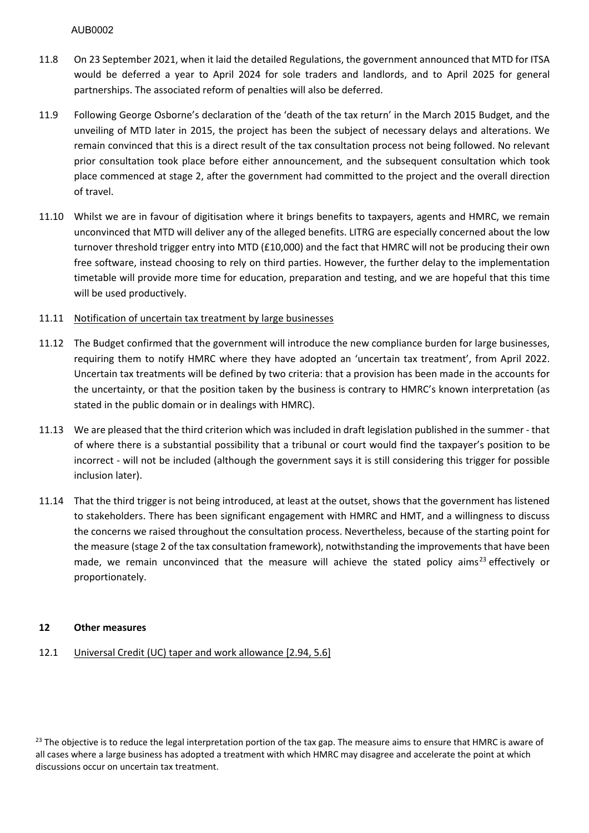- 11.8 On 23 September 2021, when it laid the detailed Regulations, the government announced that MTD for ITSA would be deferred a year to April 2024 for sole traders and landlords, and to April 2025 for general partnerships. The associated reform of penalties will also be deferred.
- 11.9 Following George Osborne's declaration of the 'death of the tax return' in the March 2015 Budget, and the unveiling of MTD later in 2015, the project has been the subject of necessary delays and alterations. We remain convinced that this is a direct result of the tax consultation process not being followed. No relevant prior consultation took place before either announcement, and the subsequent consultation which took place commenced at stage 2, after the government had committed to the project and the overall direction of travel.
- 11.10 Whilst we are in favour of digitisation where it brings benefits to taxpayers, agents and HMRC, we remain unconvinced that MTD will deliver any of the alleged benefits. LITRG are especially concerned about the low turnover threshold trigger entry into MTD (£10,000) and the fact that HMRC will not be producing their own free software, instead choosing to rely on third parties. However, the further delay to the implementation timetable will provide more time for education, preparation and testing, and we are hopeful that this time will be used productively.

### 11.11 Notification of uncertain tax treatment by large businesses

- 11.12 The Budget confirmed that the government will introduce the new compliance burden for large businesses, requiring them to notify HMRC where they have adopted an 'uncertain tax treatment', from April 2022. Uncertain tax treatments will be defined by two criteria: that a provision has been made in the accounts for the uncertainty, or that the position taken by the business is contrary to HMRC's known interpretation (as stated in the public domain or in dealings with HMRC).
- 11.13 We are pleased that the third criterion which was included in draft legislation published in the summer that of where there is a substantial possibility that a tribunal or court would find the taxpayer's position to be incorrect - will not be included (although the government says it is still considering this trigger for possible inclusion later).
- 11.14 That the third trigger is not being introduced, at least at the outset, shows that the government has listened to stakeholders. There has been significant engagement with HMRC and HMT, and a willingness to discuss the concerns we raised throughout the consultation process. Nevertheless, because of the starting point for the measure (stage 2 of the tax consultation framework), notwithstanding the improvements that have been made, we remain unconvinced that the measure will achieve the stated policy aims<sup>23</sup> effectively or proportionately.

#### **12 Other measures**

#### 12.1 Universal Credit (UC) taper and work allowance [2.94, 5.6]

<span id="page-12-0"></span><sup>23</sup> The objective is to reduce the legal interpretation portion of the tax gap. The measure aims to ensure that HMRC is aware of all cases where a large business has adopted a treatment with which HMRC may disagree and accelerate the point at which discussions occur on uncertain tax treatment.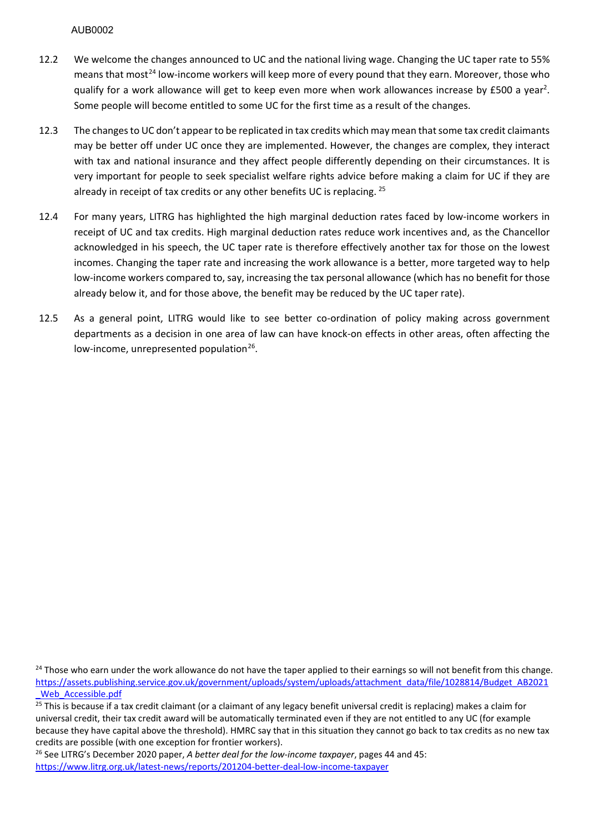- 12.2 We welcome the changes announced to UC and the national living wage. Changing the UC taper rate to 55% means that most<sup>24</sup> low-income workers will keep more of every pound that they earn. Moreover, those who qualify for a work allowance will get to keep even more when work allowances increase by £500 a year<sup>2</sup>. Some people will become entitled to some UC for the first time as a result of the changes.
- 12.3 The changes to UC don't appear to be replicated in tax credits which may mean that some tax credit claimants may be better off under UC once they are implemented. However, the changes are complex, they interact with tax and national insurance and they affect people differently depending on their circumstances. It is very important for people to seek specialist welfare rights advice before making a claim for UC if they are already in receipt of tax credits or any other benefits UC is replacing. <sup>[25](#page-13-1)</sup>
- 12.4 For many years, LITRG has highlighted the high marginal deduction rates faced by low-income workers in receipt of UC and tax credits. High marginal deduction rates reduce work incentives and, as the Chancellor acknowledged in his speech, the UC taper rate is therefore effectively another tax for those on the lowest incomes. Changing the taper rate and increasing the work allowance is a better, more targeted way to help low-income workers compared to, say, increasing the tax personal allowance (which has no benefit for those already below it, and for those above, the benefit may be reduced by the UC taper rate).
- 12.5 As a general point, LITRG would like to see better co-ordination of policy making across government departments as a decision in one area of law can have knock-on effects in other areas, often affecting the low-income, unrepresented population $26$ .

<span id="page-13-2"></span><sup>26</sup> See LITRG's December 2020 paper, *A better deal for the low-income taxpayer*, pages 44 and 45: <https://www.litrg.org.uk/latest-news/reports/201204-better-deal-low-income-taxpayer>

<span id="page-13-0"></span><sup>&</sup>lt;sup>24</sup> Those who earn under the work allowance do not have the taper applied to their earnings so will not benefit from this change. [https://assets.publishing.service.gov.uk/government/uploads/system/uploads/attachment\\_data/file/1028814/Budget\\_AB2021](https://assets.publishing.service.gov.uk/government/uploads/system/uploads/attachment_data/file/1028814/Budget_AB2021_Web_Accessible.pdf) [\\_Web\\_Accessible.pdf](https://assets.publishing.service.gov.uk/government/uploads/system/uploads/attachment_data/file/1028814/Budget_AB2021_Web_Accessible.pdf)

<span id="page-13-1"></span><sup>&</sup>lt;sup>25</sup> This is because if a tax credit claimant (or a claimant of any legacy benefit universal credit is replacing) makes a claim for universal credit, their tax credit award will be automatically terminated even if they are not entitled to any UC (for example because they have capital above the threshold). HMRC say that in this situation they cannot go back to tax credits as no new tax credits are possible (with one exception for frontier workers).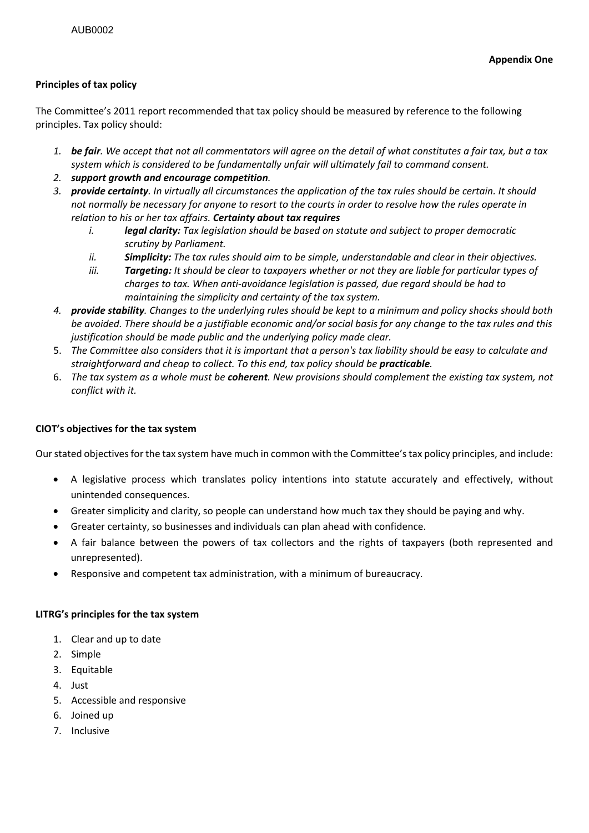# **Principles of tax policy**

The Committee's 2011 report recommended that tax policy should be measured by reference to the following principles. Tax policy should:

- *1. be fair. We accept that not all commentators will agree on the detail of what constitutes a fair tax, but a tax system which is considered to be fundamentally unfair will ultimately fail to command consent.*
- *2. support growth and encourage competition.*
- *3. provide certainty. In virtually all circumstances the application of the tax rules should be certain. It should not normally be necessary for anyone to resort to the courts in order to resolve how the rules operate in relation to his or her tax affairs. Certainty about tax requires*
	- *i. legal clarity: Tax legislation should be based on statute and subject to proper democratic scrutiny by Parliament.*
	- *ii. Simplicity: The tax rules should aim to be simple, understandable and clear in their objectives.*
	- *iii. Targeting: It should be clear to taxpayers whether or not they are liable for particular types of charges to tax. When anti-avoidance legislation is passed, due regard should be had to maintaining the simplicity and certainty of the tax system.*
- *4. provide stability. Changes to the underlying rules should be kept to a minimum and policy shocks should both be avoided. There should be a justifiable economic and/or social basis for any change to the tax rules and this justification should be made public and the underlying policy made clear.*
- 5. *The Committee also considers that it is important that a person's tax liability should be easy to calculate and straightforward and cheap to collect. To this end, tax policy should be practicable.*
- 6. *The tax system as a whole must be coherent. New provisions should complement the existing tax system, not conflict with it.*

# **CIOT's objectives for the tax system**

Our stated objectives for the tax system have much in common with the Committee's tax policy principles, and include:

- A legislative process which translates policy intentions into statute accurately and effectively, without unintended consequences.
- Greater simplicity and clarity, so people can understand how much tax they should be paying and why.
- Greater certainty, so businesses and individuals can plan ahead with confidence.
- A fair balance between the powers of tax collectors and the rights of taxpayers (both represented and unrepresented).
- Responsive and competent tax administration, with a minimum of bureaucracy.

#### **LITRG's principles for the tax system**

- 1. Clear and up to date
- 2. Simple
- 3. Equitable
- 4. Just
- 5. Accessible and responsive
- 6. Joined up
- 7. Inclusive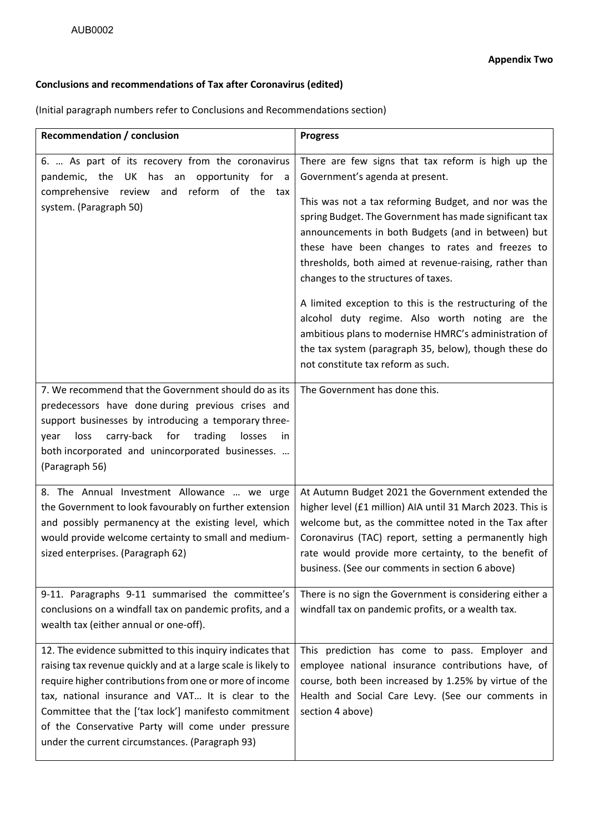# **Conclusions and recommendations of Tax after Coronavirus (edited)**

(Initial paragraph numbers refer to Conclusions and Recommendations section)

| <b>Recommendation / conclusion</b>                                                                                                                                                                                                                                                                                                                                         | <b>Progress</b>                                                                                                                                                                                                                                                                                                                                                                                                                                                                                                                                                                                                                                                                        |
|----------------------------------------------------------------------------------------------------------------------------------------------------------------------------------------------------------------------------------------------------------------------------------------------------------------------------------------------------------------------------|----------------------------------------------------------------------------------------------------------------------------------------------------------------------------------------------------------------------------------------------------------------------------------------------------------------------------------------------------------------------------------------------------------------------------------------------------------------------------------------------------------------------------------------------------------------------------------------------------------------------------------------------------------------------------------------|
| 6.  As part of its recovery from the coronavirus<br>pandemic, the UK<br>has an opportunity for a<br>comprehensive review and reform of the tax<br>system. (Paragraph 50)                                                                                                                                                                                                   | There are few signs that tax reform is high up the<br>Government's agenda at present.<br>This was not a tax reforming Budget, and nor was the<br>spring Budget. The Government has made significant tax<br>announcements in both Budgets (and in between) but<br>these have been changes to rates and freezes to<br>thresholds, both aimed at revenue-raising, rather than<br>changes to the structures of taxes.<br>A limited exception to this is the restructuring of the<br>alcohol duty regime. Also worth noting are the<br>ambitious plans to modernise HMRC's administration of<br>the tax system (paragraph 35, below), though these do<br>not constitute tax reform as such. |
| 7. We recommend that the Government should do as its<br>predecessors have done-during previous crises and<br>support businesses by introducing a temporary three-<br>carry-back<br>for<br>trading<br>loss<br>losses<br>year<br>in.<br>both incorporated and unincorporated businesses.<br>(Paragraph 56)                                                                   | The Government has done this.                                                                                                                                                                                                                                                                                                                                                                                                                                                                                                                                                                                                                                                          |
| 8. The Annual Investment Allowance  we urge<br>the Government to look favourably on further extension<br>and possibly permanency at the existing level, which<br>would provide welcome certainty to small and medium-<br>sized enterprises. (Paragraph 62)<br>9-11. Paragraphs 9-11 summarised the committee's<br>conclusions on a windfall tax on pandemic profits, and a | At Autumn Budget 2021 the Government extended the<br>higher level (£1 million) AIA until 31 March 2023. This is<br>welcome but, as the committee noted in the Tax after<br>Coronavirus (TAC) report, setting a permanently high<br>rate would provide more certainty, to the benefit of<br>business. (See our comments in section 6 above)<br>There is no sign the Government is considering either a<br>windfall tax on pandemic profits, or a wealth tax.                                                                                                                                                                                                                            |
| wealth tax (either annual or one-off).<br>12. The evidence submitted to this inquiry indicates that<br>raising tax revenue quickly and at a large scale is likely to<br>require higher contributions from one or more of income                                                                                                                                            | This prediction has come to pass. Employer and<br>employee national insurance contributions have, of<br>course, both been increased by 1.25% by virtue of the                                                                                                                                                                                                                                                                                                                                                                                                                                                                                                                          |
| tax, national insurance and VAT It is clear to the<br>Committee that the ['tax lock'] manifesto commitment<br>of the Conservative Party will come under pressure<br>under the current circumstances. (Paragraph 93)                                                                                                                                                        | Health and Social Care Levy. (See our comments in<br>section 4 above)                                                                                                                                                                                                                                                                                                                                                                                                                                                                                                                                                                                                                  |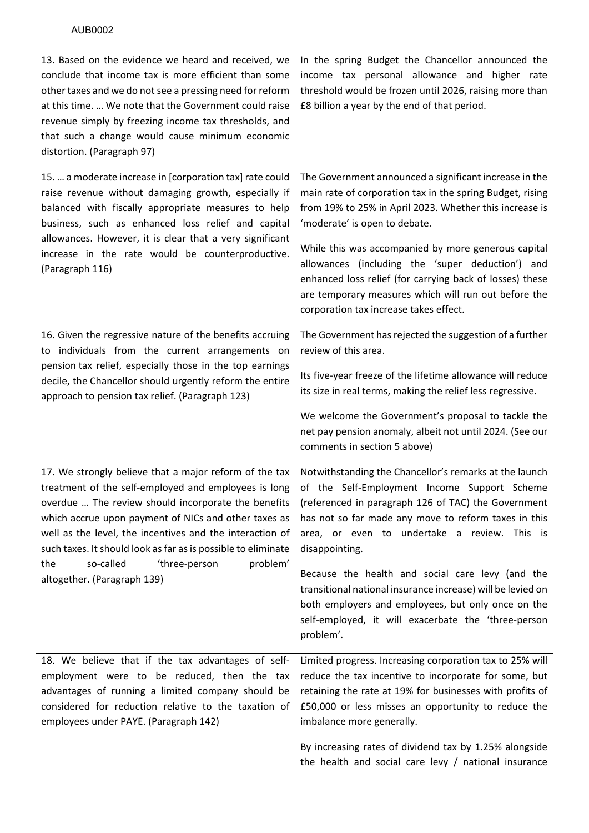| 13. Based on the evidence we heard and received, we<br>conclude that income tax is more efficient than some<br>other taxes and we do not see a pressing need for reform<br>at this time.  We note that the Government could raise<br>revenue simply by freezing income tax thresholds, and<br>that such a change would cause minimum economic<br>distortion. (Paragraph 97)                                                                | In the spring Budget the Chancellor announced the<br>income tax personal allowance and higher rate<br>threshold would be frozen until 2026, raising more than<br>£8 billion a year by the end of that period.                                                                                                                                                                                                                                                                                                                        |
|--------------------------------------------------------------------------------------------------------------------------------------------------------------------------------------------------------------------------------------------------------------------------------------------------------------------------------------------------------------------------------------------------------------------------------------------|--------------------------------------------------------------------------------------------------------------------------------------------------------------------------------------------------------------------------------------------------------------------------------------------------------------------------------------------------------------------------------------------------------------------------------------------------------------------------------------------------------------------------------------|
| 15.  a moderate increase in [corporation tax] rate could<br>raise revenue without damaging growth, especially if<br>balanced with fiscally appropriate measures to help<br>business, such as enhanced loss relief and capital<br>allowances. However, it is clear that a very significant<br>increase in the rate would be counterproductive.<br>(Paragraph 116)                                                                           | The Government announced a significant increase in the<br>main rate of corporation tax in the spring Budget, rising<br>from 19% to 25% in April 2023. Whether this increase is<br>'moderate' is open to debate.<br>While this was accompanied by more generous capital<br>allowances (including the 'super deduction') and<br>enhanced loss relief (for carrying back of losses) these<br>are temporary measures which will run out before the<br>corporation tax increase takes effect.                                             |
| 16. Given the regressive nature of the benefits accruing<br>to individuals from the current arrangements on<br>pension tax relief, especially those in the top earnings<br>decile, the Chancellor should urgently reform the entire<br>approach to pension tax relief. (Paragraph 123)                                                                                                                                                     | The Government has rejected the suggestion of a further<br>review of this area.<br>Its five-year freeze of the lifetime allowance will reduce<br>its size in real terms, making the relief less regressive.<br>We welcome the Government's proposal to tackle the<br>net pay pension anomaly, albeit not until 2024. (See our<br>comments in section 5 above)                                                                                                                                                                        |
| 17. We strongly believe that a major reform of the tax<br>treatment of the self-employed and employees is long<br>overdue  The review should incorporate the benefits<br>which accrue upon payment of NICs and other taxes as<br>well as the level, the incentives and the interaction of<br>such taxes. It should look as far as is possible to eliminate<br>so-called<br>problem'<br>the<br>'three-person<br>altogether. (Paragraph 139) | Notwithstanding the Chancellor's remarks at the launch<br>of the Self-Employment Income Support Scheme<br>(referenced in paragraph 126 of TAC) the Government<br>has not so far made any move to reform taxes in this<br>area, or even to undertake a review. This is<br>disappointing.<br>Because the health and social care levy (and the<br>transitional national insurance increase) will be levied on<br>both employers and employees, but only once on the<br>self-employed, it will exacerbate the 'three-person<br>problem'. |
| 18. We believe that if the tax advantages of self-<br>employment were to be reduced, then the tax<br>advantages of running a limited company should be<br>considered for reduction relative to the taxation of<br>employees under PAYE. (Paragraph 142)                                                                                                                                                                                    | Limited progress. Increasing corporation tax to 25% will<br>reduce the tax incentive to incorporate for some, but<br>retaining the rate at 19% for businesses with profits of<br>£50,000 or less misses an opportunity to reduce the<br>imbalance more generally.<br>By increasing rates of dividend tax by 1.25% alongside<br>the health and social care levy / national insurance                                                                                                                                                  |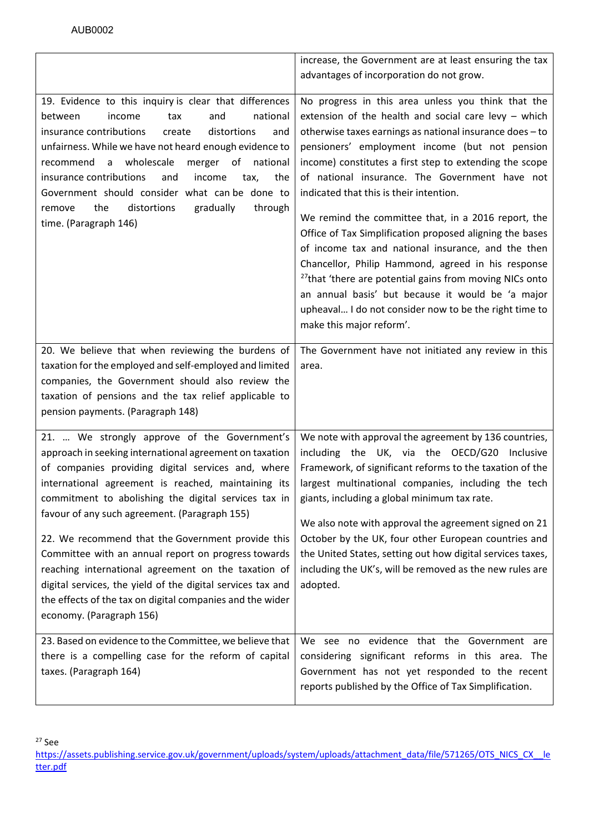<span id="page-17-0"></span>

|                                                                                                                                                                                                                                                                                                                                                                                                                                                                                                                                                                                                                                                          | increase, the Government are at least ensuring the tax<br>advantages of incorporation do not grow.                                                                                                                                                                                                                                                                                                                                                                                                                                                                                                                                                                                                                                                                                                                                  |
|----------------------------------------------------------------------------------------------------------------------------------------------------------------------------------------------------------------------------------------------------------------------------------------------------------------------------------------------------------------------------------------------------------------------------------------------------------------------------------------------------------------------------------------------------------------------------------------------------------------------------------------------------------|-------------------------------------------------------------------------------------------------------------------------------------------------------------------------------------------------------------------------------------------------------------------------------------------------------------------------------------------------------------------------------------------------------------------------------------------------------------------------------------------------------------------------------------------------------------------------------------------------------------------------------------------------------------------------------------------------------------------------------------------------------------------------------------------------------------------------------------|
| 19. Evidence to this inquiry is clear that differences<br>national<br>between<br>income<br>and<br>tax<br>insurance contributions<br>distortions<br>create<br>and<br>unfairness. While we have not heard enough evidence to<br>recommend a wholescale<br>merger of national<br>insurance contributions<br>income<br>the<br>and<br>tax,<br>Government should consider what can be done to<br>the<br>distortions<br>gradually<br>through<br>remove<br>time. (Paragraph 146)                                                                                                                                                                                 | No progress in this area unless you think that the<br>extension of the health and social care levy $-$ which<br>otherwise taxes earnings as national insurance does - to<br>pensioners' employment income (but not pension<br>income) constitutes a first step to extending the scope<br>of national insurance. The Government have not<br>indicated that this is their intention.<br>We remind the committee that, in a 2016 report, the<br>Office of Tax Simplification proposed aligning the bases<br>of income tax and national insurance, and the then<br>Chancellor, Philip Hammond, agreed in his response<br><sup>27</sup> that 'there are potential gains from moving NICs onto<br>an annual basis' but because it would be 'a major<br>upheaval I do not consider now to be the right time to<br>make this major reform'. |
| 20. We believe that when reviewing the burdens of<br>taxation for the employed and self-employed and limited<br>companies, the Government should also review the<br>taxation of pensions and the tax relief applicable to<br>pension payments. (Paragraph 148)                                                                                                                                                                                                                                                                                                                                                                                           | The Government have not initiated any review in this<br>area.                                                                                                                                                                                                                                                                                                                                                                                                                                                                                                                                                                                                                                                                                                                                                                       |
| 21.  We strongly approve of the Government's<br>approach in seeking international agreement on taxation<br>of companies providing digital services and, where<br>international agreement is reached, maintaining its<br>commitment to abolishing the digital services tax in<br>favour of any such agreement. (Paragraph 155)<br>22. We recommend that the Government provide this<br>Committee with an annual report on progress towards<br>reaching international agreement on the taxation of<br>digital services, the yield of the digital services tax and<br>the effects of the tax on digital companies and the wider<br>economy. (Paragraph 156) | We note with approval the agreement by 136 countries,<br>including the UK, via the OECD/G20 Inclusive<br>Framework, of significant reforms to the taxation of the<br>largest multinational companies, including the tech<br>giants, including a global minimum tax rate.<br>We also note with approval the agreement signed on 21<br>October by the UK, four other European countries and<br>the United States, setting out how digital services taxes,<br>including the UK's, will be removed as the new rules are<br>adopted.                                                                                                                                                                                                                                                                                                     |
| 23. Based on evidence to the Committee, we believe that<br>there is a compelling case for the reform of capital<br>taxes. (Paragraph 164)                                                                                                                                                                                                                                                                                                                                                                                                                                                                                                                | We see no evidence that the Government are<br>considering significant reforms in this area. The<br>Government has not yet responded to the recent<br>reports published by the Office of Tax Simplification.                                                                                                                                                                                                                                                                                                                                                                                                                                                                                                                                                                                                                         |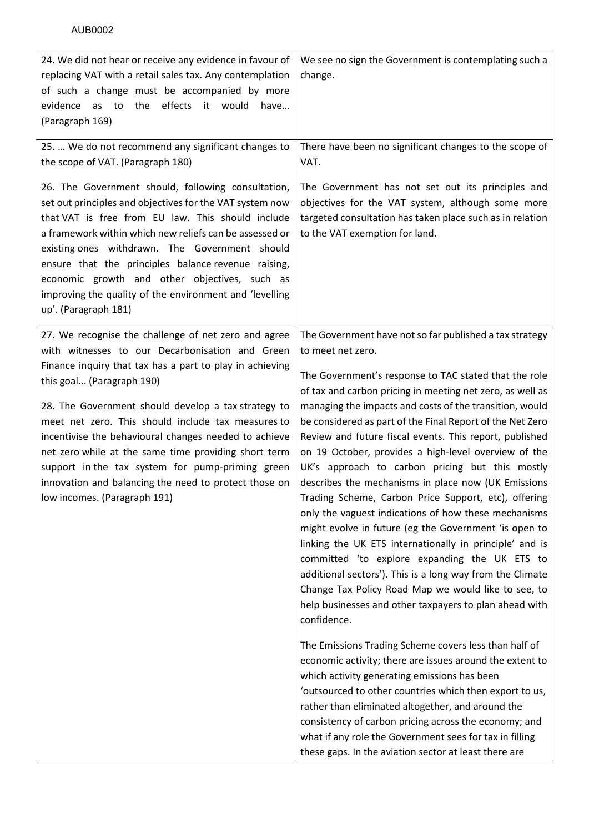| 24. We did not hear or receive any evidence in favour of<br>replacing VAT with a retail sales tax. Any contemplation<br>of such a change must be accompanied by more<br>the effects it would<br>evidence as to<br>have<br>(Paragraph 169)                                                                                                                                                                                                                                   | We see no sign the Government is contemplating such a<br>change.                                                                                                                                                                                                                                                                                                                                                                                                                                                                                                                                                                                                                                                                                                                                                                    |
|-----------------------------------------------------------------------------------------------------------------------------------------------------------------------------------------------------------------------------------------------------------------------------------------------------------------------------------------------------------------------------------------------------------------------------------------------------------------------------|-------------------------------------------------------------------------------------------------------------------------------------------------------------------------------------------------------------------------------------------------------------------------------------------------------------------------------------------------------------------------------------------------------------------------------------------------------------------------------------------------------------------------------------------------------------------------------------------------------------------------------------------------------------------------------------------------------------------------------------------------------------------------------------------------------------------------------------|
| 25.  We do not recommend any significant changes to<br>the scope of VAT. (Paragraph 180)                                                                                                                                                                                                                                                                                                                                                                                    | There have been no significant changes to the scope of<br>VAT.                                                                                                                                                                                                                                                                                                                                                                                                                                                                                                                                                                                                                                                                                                                                                                      |
| 26. The Government should, following consultation,<br>set out principles and objectives for the VAT system now<br>that VAT is free from EU law. This should include<br>a framework within which new reliefs can be assessed or<br>existing ones withdrawn. The Government should<br>ensure that the principles balance revenue raising,<br>economic growth and other objectives, such as<br>improving the quality of the environment and 'levelling<br>up'. (Paragraph 181) | The Government has not set out its principles and<br>objectives for the VAT system, although some more<br>targeted consultation has taken place such as in relation<br>to the VAT exemption for land.                                                                                                                                                                                                                                                                                                                                                                                                                                                                                                                                                                                                                               |
| 27. We recognise the challenge of net zero and agree<br>with witnesses to our Decarbonisation and Green<br>Finance inquiry that tax has a part to play in achieving<br>this goal (Paragraph 190)                                                                                                                                                                                                                                                                            | The Government have not so far published a tax strategy<br>to meet net zero.<br>The Government's response to TAC stated that the role<br>of tax and carbon pricing in meeting net zero, as well as                                                                                                                                                                                                                                                                                                                                                                                                                                                                                                                                                                                                                                  |
| 28. The Government should develop a tax strategy to<br>meet net zero. This should include tax measures to<br>incentivise the behavioural changes needed to achieve<br>net zero while at the same time providing short term<br>support in the tax system for pump-priming green<br>innovation and balancing the need to protect those on<br>low incomes. (Paragraph 191)                                                                                                     | managing the impacts and costs of the transition, would<br>be considered as part of the Final Report of the Net Zero<br>Review and future fiscal events. This report, published<br>on 19 October, provides a high-level overview of the<br>UK's approach to carbon pricing but this mostly<br>describes the mechanisms in place now (UK Emissions<br>Trading Scheme, Carbon Price Support, etc), offering<br>only the vaguest indications of how these mechanisms<br>might evolve in future (eg the Government 'is open to<br>linking the UK ETS internationally in principle' and is<br>committed 'to explore expanding the UK ETS to<br>additional sectors'). This is a long way from the Climate<br>Change Tax Policy Road Map we would like to see, to<br>help businesses and other taxpayers to plan ahead with<br>confidence. |
|                                                                                                                                                                                                                                                                                                                                                                                                                                                                             | The Emissions Trading Scheme covers less than half of<br>economic activity; there are issues around the extent to<br>which activity generating emissions has been<br>'outsourced to other countries which then export to us,<br>rather than eliminated altogether, and around the<br>consistency of carbon pricing across the economy; and<br>what if any role the Government sees for tax in filling<br>these gaps. In the aviation sector at least there are                                                                                                                                                                                                                                                                                                                                                                      |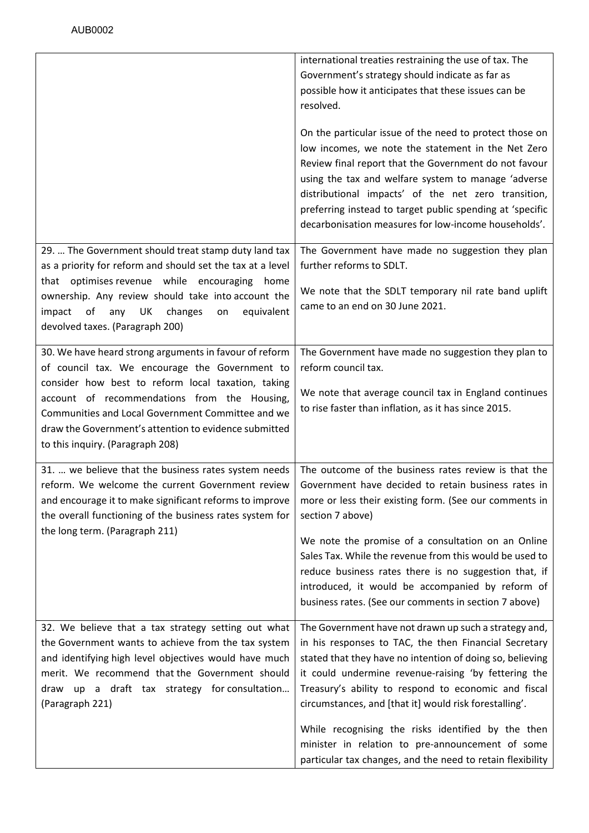|                                                                     | international treaties restraining the use of tax. The     |
|---------------------------------------------------------------------|------------------------------------------------------------|
|                                                                     | Government's strategy should indicate as far as            |
|                                                                     | possible how it anticipates that these issues can be       |
|                                                                     | resolved.                                                  |
|                                                                     | On the particular issue of the need to protect those on    |
|                                                                     | low incomes, we note the statement in the Net Zero         |
|                                                                     | Review final report that the Government do not favour      |
|                                                                     | using the tax and welfare system to manage 'adverse        |
|                                                                     | distributional impacts' of the net zero transition,        |
|                                                                     | preferring instead to target public spending at 'specific  |
|                                                                     | decarbonisation measures for low-income households'.       |
| 29.  The Government should treat stamp duty land tax                | The Government have made no suggestion they plan           |
| as a priority for reform and should set the tax at a level          | further reforms to SDLT.                                   |
| that optimises revenue while encouraging<br>home                    |                                                            |
| ownership. Any review should take into account the                  | We note that the SDLT temporary nil rate band uplift       |
| $\mathsf{of}$<br>UK<br>changes<br>equivalent<br>impact<br>any<br>on | came to an end on 30 June 2021.                            |
| devolved taxes. (Paragraph 200)                                     |                                                            |
|                                                                     |                                                            |
| 30. We have heard strong arguments in favour of reform              | The Government have made no suggestion they plan to        |
| of council tax. We encourage the Government to                      | reform council tax.                                        |
| consider how best to reform local taxation, taking                  | We note that average council tax in England continues      |
| account of recommendations from the Housing,                        | to rise faster than inflation, as it has since 2015.       |
| Communities and Local Government Committee and we                   |                                                            |
| draw the Government's attention to evidence submitted               |                                                            |
| to this inquiry. (Paragraph 208)                                    |                                                            |
| 31.  we believe that the business rates system needs                | The outcome of the business rates review is that the       |
| reform. We welcome the current Government review                    | Government have decided to retain business rates in        |
| and encourage it to make significant reforms to improve             | more or less their existing form. (See our comments in     |
| the overall functioning of the business rates system for            | section 7 above)                                           |
| the long term. (Paragraph 211)                                      |                                                            |
|                                                                     | We note the promise of a consultation on an Online         |
|                                                                     | Sales Tax. While the revenue from this would be used to    |
|                                                                     | reduce business rates there is no suggestion that, if      |
|                                                                     | introduced, it would be accompanied by reform of           |
|                                                                     | business rates. (See our comments in section 7 above)      |
| 32. We believe that a tax strategy setting out what                 | The Government have not drawn up such a strategy and,      |
| the Government wants to achieve from the tax system                 | in his responses to TAC, the then Financial Secretary      |
| and identifying high level objectives would have much               | stated that they have no intention of doing so, believing  |
| merit. We recommend that the Government should                      | it could undermine revenue-raising 'by fettering the       |
| draw up a draft tax strategy for consultation                       | Treasury's ability to respond to economic and fiscal       |
| (Paragraph 221)                                                     | circumstances, and [that it] would risk forestalling'.     |
|                                                                     | While recognising the risks identified by the then         |
|                                                                     | minister in relation to pre-announcement of some           |
|                                                                     | particular tax changes, and the need to retain flexibility |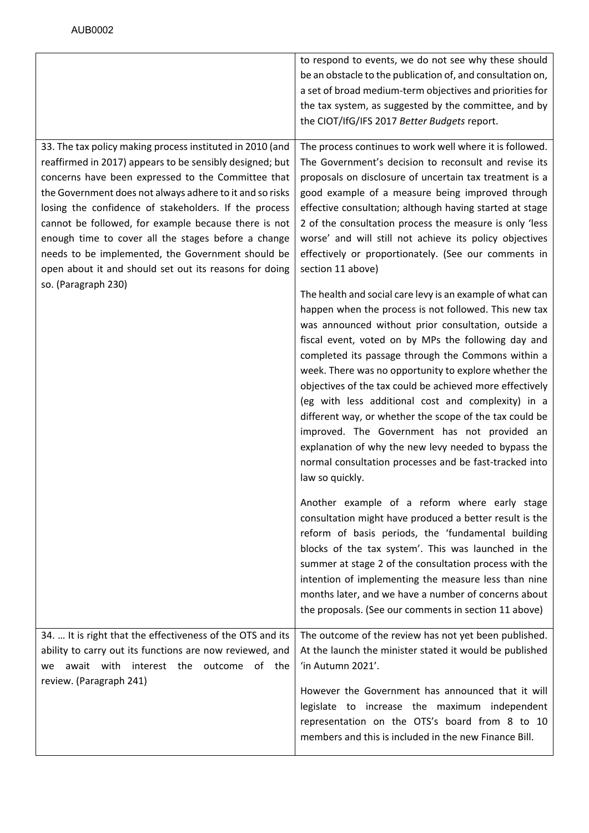|                                                                                                                                                                                                                                                                                                                                                                                                                                                                                                                                | to respond to events, we do not see why these should<br>be an obstacle to the publication of, and consultation on,<br>a set of broad medium-term objectives and priorities for<br>the tax system, as suggested by the committee, and by<br>the CIOT/IfG/IFS 2017 Better Budgets report.                                                                                                                                                                                                                                                                                                                                                                                                                           |
|--------------------------------------------------------------------------------------------------------------------------------------------------------------------------------------------------------------------------------------------------------------------------------------------------------------------------------------------------------------------------------------------------------------------------------------------------------------------------------------------------------------------------------|-------------------------------------------------------------------------------------------------------------------------------------------------------------------------------------------------------------------------------------------------------------------------------------------------------------------------------------------------------------------------------------------------------------------------------------------------------------------------------------------------------------------------------------------------------------------------------------------------------------------------------------------------------------------------------------------------------------------|
| 33. The tax policy making process instituted in 2010 (and<br>reaffirmed in 2017) appears to be sensibly designed; but<br>concerns have been expressed to the Committee that<br>the Government does not always adhere to it and so risks<br>losing the confidence of stakeholders. If the process<br>cannot be followed, for example because there is not<br>enough time to cover all the stages before a change<br>needs to be implemented, the Government should be<br>open about it and should set out its reasons for doing | The process continues to work well where it is followed.<br>The Government's decision to reconsult and revise its<br>proposals on disclosure of uncertain tax treatment is a<br>good example of a measure being improved through<br>effective consultation; although having started at stage<br>2 of the consultation process the measure is only 'less<br>worse' and will still not achieve its policy objectives<br>effectively or proportionately. (See our comments in<br>section 11 above)                                                                                                                                                                                                                   |
| so. (Paragraph 230)                                                                                                                                                                                                                                                                                                                                                                                                                                                                                                            | The health and social care levy is an example of what can<br>happen when the process is not followed. This new tax<br>was announced without prior consultation, outside a<br>fiscal event, voted on by MPs the following day and<br>completed its passage through the Commons within a<br>week. There was no opportunity to explore whether the<br>objectives of the tax could be achieved more effectively<br>(eg with less additional cost and complexity) in a<br>different way, or whether the scope of the tax could be<br>improved. The Government has not provided an<br>explanation of why the new levy needed to bypass the<br>normal consultation processes and be fast-tracked into<br>law so quickly. |
|                                                                                                                                                                                                                                                                                                                                                                                                                                                                                                                                | Another example of a reform where early stage<br>consultation might have produced a better result is the<br>reform of basis periods, the 'fundamental building<br>blocks of the tax system'. This was launched in the<br>summer at stage 2 of the consultation process with the<br>intention of implementing the measure less than nine<br>months later, and we have a number of concerns about<br>the proposals. (See our comments in section 11 above)                                                                                                                                                                                                                                                          |
| 34.  It is right that the effectiveness of the OTS and its<br>ability to carry out its functions are now reviewed, and<br>await with interest the outcome of the<br>we<br>review. (Paragraph 241)                                                                                                                                                                                                                                                                                                                              | The outcome of the review has not yet been published.<br>At the launch the minister stated it would be published<br>'in Autumn 2021'.                                                                                                                                                                                                                                                                                                                                                                                                                                                                                                                                                                             |
|                                                                                                                                                                                                                                                                                                                                                                                                                                                                                                                                | However the Government has announced that it will<br>legislate to increase the maximum independent<br>representation on the OTS's board from 8 to 10<br>members and this is included in the new Finance Bill.                                                                                                                                                                                                                                                                                                                                                                                                                                                                                                     |